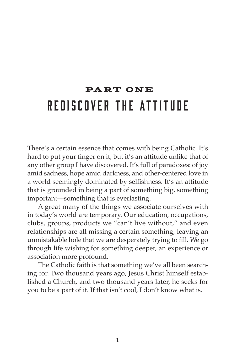# PART ONE Rediscover the Attitude

There's a certain essence that comes with being Catholic. It's hard to put your finger on it, but it's an attitude unlike that of any other group I have discovered. It's full of paradoxes: of joy amid sadness, hope amid darkness, and other-centered love in a world seemingly dominated by selfishness. It's an attitude that is grounded in being a part of something big, something important—something that is everlasting.

A great many of the things we associate ourselves with in today's world are temporary. Our education, occupations, clubs, groups, products we "can't live without," and even relationships are all missing a certain something, leaving an unmistakable hole that we are desperately trying to fill. We go through life wishing for something deeper, an experience or association more profound.

The Catholic faith is that something we've all been searching for. Two thousand years ago, Jesus Christ himself established a Church, and two thousand years later, he seeks for you to be a part of it. If that isn't cool, I don't know what is.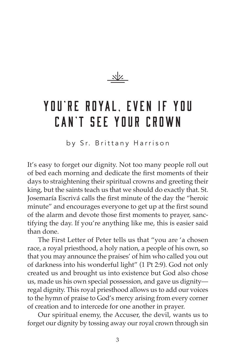

# YOU'RE ROYAL. EVEN IF YOU Can't See Your Crown

by Sr. Brittany Harrison

It's easy to forget our dignity. Not too many people roll out of bed each morning and dedicate the first moments of their days to straightening their spiritual crowns and greeting their king, but the saints teach us that we should do exactly that. St. Josemaría Escrivá calls the first minute of the day the "heroic minute" and encourages everyone to get up at the first sound of the alarm and devote those first moments to prayer, sanctifying the day. If you're anything like me, this is easier said than done.

The First Letter of Peter tells us that "you are 'a chosen race, a royal priesthood, a holy nation, a people of his own, so that you may announce the praises' of him who called you out of darkness into his wonderful light" (1 Pt 2:9). God not only created us and brought us into existence but God also chose us, made us his own special possession, and gave us dignity regal dignity. This royal priesthood allows us to add our voices to the hymn of praise to God's mercy arising from every corner of creation and to intercede for one another in prayer.

Our spiritual enemy, the Accuser, the devil, wants us to forget our dignity by tossing away our royal crown through sin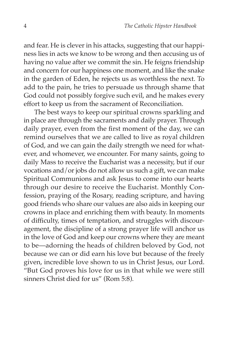and fear. He is clever in his attacks, suggesting that our happiness lies in acts we know to be wrong and then accusing us of having no value after we commit the sin. He feigns friendship and concern for our happiness one moment, and like the snake in the garden of Eden, he rejects us as worthless the next. To add to the pain, he tries to persuade us through shame that God could not possibly forgive such evil, and he makes every effort to keep us from the sacrament of Reconciliation.

The best ways to keep our spiritual crowns sparkling and in place are through the sacraments and daily prayer. Through daily prayer, even from the first moment of the day, we can remind ourselves that we are called to live as royal children of God, and we can gain the daily strength we need for whatever, and whomever, we encounter. For many saints, going to daily Mass to receive the Eucharist was a necessity, but if our vocations and/or jobs do not allow us such a gift, we can make Spiritual Communions and ask Jesus to come into our hearts through our desire to receive the Eucharist. Monthly Confession, praying of the Rosary, reading scripture, and having good friends who share our values are also aids in keeping our crowns in place and enriching them with beauty. In moments of difficulty, times of temptation, and struggles with discouragement, the discipline of a strong prayer life will anchor us in the love of God and keep our crowns where they are meant to be—adorning the heads of children beloved by God, not because we can or did earn his love but because of the freely given, incredible love shown to us in Christ Jesus, our Lord. "But God proves his love for us in that while we were still sinners Christ died for us" (Rom 5:8).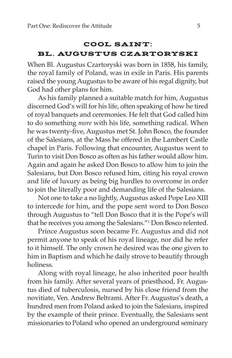### **COOL SAINT:** BL. AUGUSTUS CZARTORYSKI

When Bl. Augustus Czartoryski was born in 1858, his family, the royal family of Poland, was in exile in Paris. His parents raised the young Augustus to be aware of his regal dignity, but God had other plans for him.

As his family planned a suitable match for him, Augustus discerned God's will for his life, often speaking of how he tired of royal banquets and ceremonies. He felt that God called him to do something *more* with his life, something radical. When he was twenty-five, Augustus met St. John Bosco, the founder of the Salesians, at the Mass he offered in the Lambert Castle chapel in Paris. Following that encounter, Augustus went to Turin to visit Don Bosco as often as his father would allow him. Again and again he asked Don Bosco to allow him to join the Salesians, but Don Bosco refused him, citing his royal crown and life of luxury as being big hurdles to overcome in order to join the literally poor and demanding life of the Salesians.

Not one to take a no lightly, Augustus asked Pope Leo XIII to intercede for him, and the pope sent word to Don Bosco through Augustus to "tell Don Bosco that it is the Pope's will that he receives you among the Salesians."1 Don Bosco relented.

Prince Augustus soon became Fr. Augustus and did not permit anyone to speak of his royal lineage, nor did he refer to it himself. The only crown he desired was the one given to him in Baptism and which he daily strove to beautify through holiness.

Along with royal lineage, he also inherited poor health from his family. After several years of priesthood, Fr. Augustus died of tuberculosis, nursed by his close friend from the novitiate, Ven. Andrew Beltrami. After Fr. Augustus's death, a hundred men from Poland asked to join the Salesians, inspired by the example of their prince. Eventually, the Salesians sent missionaries to Poland who opened an underground seminary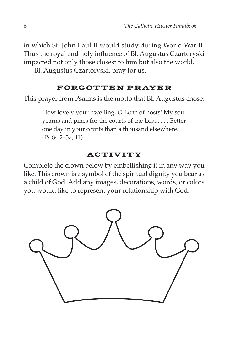in which St. John Paul II would study during World War II. Thus the royal and holy influence of Bl. Augustus Czartoryski impacted not only those closest to him but also the world.

Bl. Augustus Czartoryski, pray for us.

### FORGOTTEN PRAYER

This prayer from Psalms is the motto that Bl. Augustus chose:

How lovely your dwelling, O LORD of hosts! My soul yearns and pines for the courts of the LORD. . . . Better one day in your courts than a thousand elsewhere. (Ps 84:2–3a, 11)

### ACTIVITY

Complete the crown below by embellishing it in any way you like. This crown is a symbol of the spiritual dignity you bear as a child of God. Add any images, decorations, words, or colors you would like to represent your relationship with God.

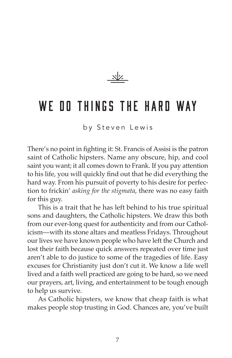$\frac{1}{2}$ 

## WE OO THINGS THE HARD WAY

by Steven Lewis

There's no point in fighting it: St. Francis of Assisi is the patron saint of Catholic hipsters. Name any obscure, hip, and cool saint you want; it all comes down to Frank. If you pay attention to his life, you will quickly find out that he did everything the hard way. From his pursuit of poverty to his desire for perfection to frickin' *asking for the stigmata*, there was no easy faith for this guy.

This is a trait that he has left behind to his true spiritual sons and daughters, the Catholic hipsters. We draw this both from our ever-long quest for authenticity and from our Catholicism—with its stone altars and meatless Fridays. Throughout our lives we have known people who have left the Church and lost their faith because quick answers repeated over time just aren't able to do justice to some of the tragedies of life. Easy excuses for Christianity just don't cut it. We know a life well lived and a faith well practiced are going to be hard, so we need our prayers, art, living, and entertainment to be tough enough to help us survive.

As Catholic hipsters, we know that cheap faith is what makes people stop trusting in God. Chances are, you've built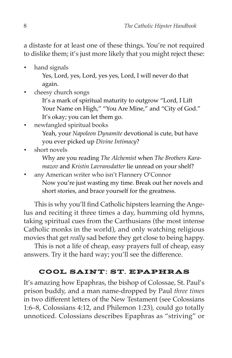a distaste for at least one of these things. You're not required to dislike them; it's just more likely that you might reject these:

• hand signals

Yes, Lord, yes, Lord, yes yes, Lord, I will never do that again.

• cheesy church songs

It's a mark of spiritual maturity to outgrow "Lord, I Lift Your Name on High," "You Are Mine," and "City of God." It's okay; you can let them go.

- newfangled spiritual books Yeah, your *Napoleon Dynamite* devotional is cute, but have you ever picked up *Divine Intimacy*?
- short novels

Why are you reading *The Alchemist* when *The Brothers Karamazov* and *Kristin Lavransdatter* lie unread on your shelf?

• any American writer who isn't Flannery O'Connor Now you're just wasting my time. Break out her novels and short stories, and brace yourself for the greatness.

This is why you'll find Catholic hipsters learning the Angelus and reciting it three times a day, humming old hymns, taking spiritual cues from the Carthusians (the most intense Catholic monks in the world), and only watching religious movies that get *really* sad before they get close to being happy.

This is not a life of cheap, easy prayers full of cheap, easy answers. Try it the hard way; you'll see the difference.

#### COOL SAINT: ST. EPAPHRAS

It's amazing how Epaphras, the bishop of Colossae, St. Paul's prison buddy, and a man name-dropped by Paul *three times* in two different letters of the New Testament (see Colossians 1:6–8, Colossians 4:12, and Philemon 1:23), could go totally unnoticed. Colossians describes Epaphras as "striving" or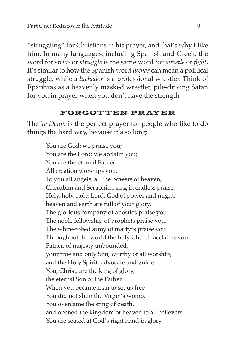"struggling" for Christians in his prayer, and that's why I like him. In many languages, including Spanish and Greek, the word for *strive* or *struggle* is the same word for *wrestle* or *fight*. It's similar to how the Spanish word *luchar* can mean a political struggle, while a *luchador* is a professional wrestler. Think of Epaphras as a heavenly masked wrestler, pile-driving Satan for you in prayer when you don't have the strength.

#### FORGOTTEN PRAYER

The *Te Deum* is the perfect prayer for people who like to do things the hard way, because it's so long:

You are God: we praise you; You are the Lord: we acclaim you; You are the eternal Father: All creation worships you. To you all angels, all the powers of heaven, Cherubim and Seraphim, sing in endless praise: Holy, holy, holy, Lord, God of power and might, heaven and earth are full of your glory. The glorious company of apostles praise you. The noble fellowship of prophets praise you. The white-robed army of martyrs praise you. Throughout the world the holy Church acclaims you: Father, of majesty unbounded, your true and only Son, worthy of all worship, and the Holy Spirit, advocate and guide. You, Christ, are the king of glory, the eternal Son of the Father. When you became man to set us free You did not shun the Virgin's womb. You overcame the sting of death, and opened the kingdom of heaven to all believers. You are seated at God's right hand in glory.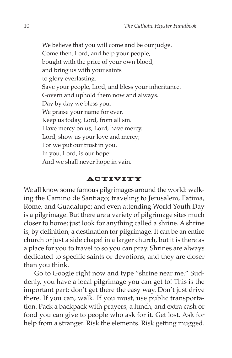We believe that you will come and be our judge. Come then, Lord, and help your people, bought with the price of your own blood, and bring us with your saints to glory everlasting. Save your people, Lord, and bless your inheritance. Govern and uphold them now and always. Day by day we bless you. We praise your name for ever. Keep us today, Lord, from all sin. Have mercy on us, Lord, have mercy. Lord, show us your love and mercy; For we put our trust in you. In you, Lord, is our hope: And we shall never hope in vain.

#### ACTIVITY

We all know some famous pilgrimages around the world: walking the Camino de Santiago; traveling to Jerusalem, Fatima, Rome, and Guadalupe; and even attending World Youth Day is a pilgrimage. But there are a variety of pilgrimage sites much closer to home; just look for anything called a shrine. A shrine is, by definition, a destination for pilgrimage. It can be an entire church or just a side chapel in a larger church, but it is there as a place for you to travel to so you can pray. Shrines are always dedicated to specific saints or devotions, and they are closer than you think.

Go to Google right now and type "shrine near me." Suddenly, you have a local pilgrimage you can get to! This is the important part: don't get there the easy way. Don't just drive there. If you can, walk. If you must, use public transportation. Pack a backpack with prayers, a lunch, and extra cash or food you can give to people who ask for it. Get lost. Ask for help from a stranger. Risk the elements. Risk getting mugged.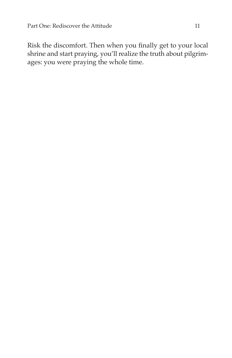Risk the discomfort. Then when you finally get to your local shrine and start praying, you'll realize the truth about pilgrimages: you were praying the whole time.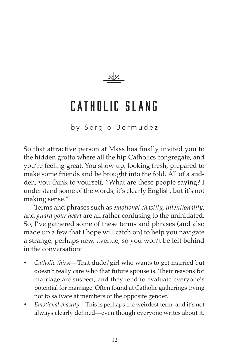

# Catholic Slang

by Sergio Bermudez

So that attractive person at Mass has finally invited you to the hidden grotto where all the hip Catholics congregate, and you're feeling great. You show up, looking fresh, prepared to make some friends and be brought into the fold. All of a sudden, you think to yourself, "What are these people saying? I understand some of the words; it's clearly English, but it's not making sense."

Terms and phrases such as *emotional chastity*, *intentionality*, and *guard your heart* are all rather confusing to the uninitiated. So, I've gathered some of these terms and phrases (and also made up a few that I hope will catch on) to help you navigate a strange, perhaps new, avenue, so you won't be left behind in the conversation:

- *Catholic thirst*—That dude/girl who wants to get married but doesn't really care who that future spouse is. Their reasons for marriage are suspect, and they tend to evaluate everyone's potential for marriage. Often found at Catholic gatherings trying not to salivate at members of the opposite gender.
- *Emotional chastity*—This is perhaps the weirdest term, and it's not always clearly defined—even though everyone writes about it.